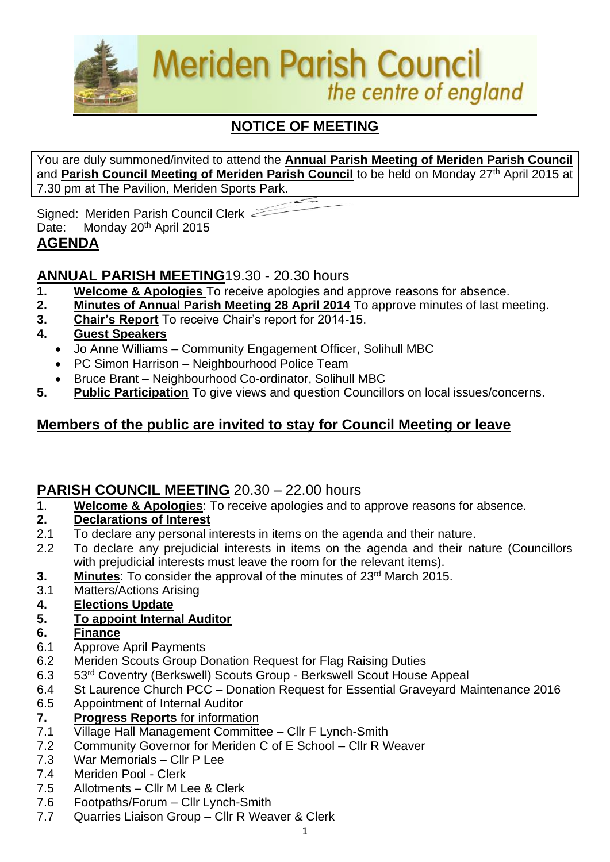

# **NOTICE OF MEETING**

You are duly summoned/invited to attend the **Annual Parish Meeting of Meriden Parish Council** and Parish Council Meeting of Meriden Parish Council to be held on Monday 27<sup>th</sup> April 2015 at 7.30 pm at The Pavilion, Meriden Sports Park.

Signed: Meriden Parish Council Clerk Date: Monday 20<sup>th</sup> April 2015 **AGENDA**

# **ANNUAL PARISH MEETING**19.30 - 20.30 hours

- **1. Welcome & Apologies** To receive apologies and approve reasons for absence.
- **2. Minutes of Annual Parish Meeting 28 April 2014** To approve minutes of last meeting.
- **3. Chair's Report** To receive Chair's report for 2014-15.
- **4. Guest Speakers**
	- Jo Anne Williams Community Engagement Officer, Solihull MBC
	- PC Simon Harrison Neighbourhood Police Team
	- Bruce Brant Neighbourhood Co-ordinator, Solihull MBC
- **5. Public Participation** To give views and question Councillors on local issues/concerns.

# **Members of the public are invited to stay for Council Meeting or leave**

# **PARISH COUNCIL MEETING** 20.30 – 22.00 hours

**1**. **Welcome & Apologies**: To receive apologies and to approve reasons for absence.

#### **2. Declarations of Interest**

- 2.1 To declare any personal interests in items on the agenda and their nature.
- 2.2 To declare any prejudicial interests in items on the agenda and their nature (Councillors with prejudicial interests must leave the room for the relevant items).
- **3.** Minutes: To consider the approval of the minutes of 23<sup>rd</sup> March 2015.
- 3.1 Matters/Actions Arising
- **4. Elections Update**
- **5. To appoint Internal Auditor**
- **6. Finance**
- 6.1 Approve April Payments
- 6.2 Meriden Scouts Group Donation Request for Flag Raising Duties
- 6.3 53rd Coventry (Berkswell) Scouts Group Berkswell Scout House Appeal
- 6.4 St Laurence Church PCC Donation Request for Essential Graveyard Maintenance 2016
- 6.5 Appointment of Internal Auditor
- **7. Progress Reports** for information
- 7.1 Village Hall Management Committee Cllr F Lynch-Smith
- 7.2 Community Governor for Meriden C of E School Cllr R Weaver
- 7.3 War Memorials Cllr P Lee
- 7.4 Meriden Pool Clerk
- 7.5 Allotments Cllr M Lee & Clerk
- 7.6 Footpaths/Forum Cllr Lynch-Smith
- 7.7 Quarries Liaison Group Cllr R Weaver & Clerk